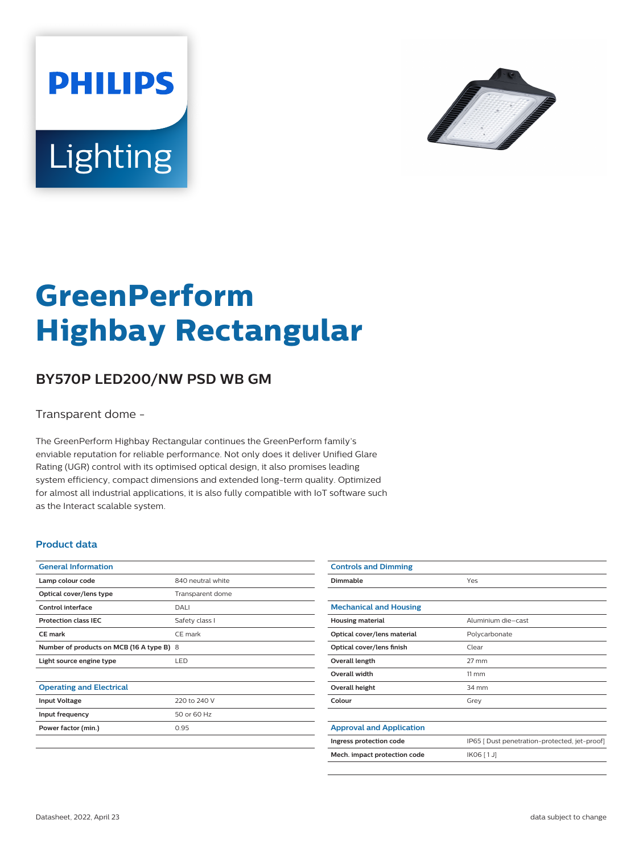



# **GreenPerform Highbay Rectangular**

## **BY570P LED200/NW PSD WB GM**

Transparent dome -

The GreenPerform Highbay Rectangular continues the GreenPerform family's enviable reputation for reliable performance. Not only does it deliver Unified Glare Rating (UGR) control with its optimised optical design, it also promises leading system efficiency, compact dimensions and extended long-term quality. Optimized for almost all industrial applications, it is also fully compatible with IoT software such as the Interact scalable system.

#### **Product data**

| <b>General Information</b>                |                   |
|-------------------------------------------|-------------------|
| Lamp colour code                          | 840 neutral white |
| Optical cover/lens type                   | Transparent dome  |
| Control interface                         | DALI              |
| <b>Protection class IEC</b>               | Safety class I    |
| CF mark                                   | CE mark           |
| Number of products on MCB (16 A type B) 8 |                   |
| Light source engine type                  | LED.              |
|                                           |                   |
| <b>Operating and Electrical</b>           |                   |
| <b>Input Voltage</b>                      | 220 to 240 V      |
| Input frequency                           | 50 or 60 Hz       |
| Power factor (min.)                       | 0.95              |
|                                           |                   |

| <b>Controls and Dimming</b>     |                                               |
|---------------------------------|-----------------------------------------------|
| Dimmable                        | Yes                                           |
|                                 |                                               |
| <b>Mechanical and Housing</b>   |                                               |
| <b>Housing material</b>         | Aluminium die-cast                            |
| Optical cover/lens material     | Polycarbonate                                 |
| Optical cover/lens finish       | Clear                                         |
| Overall length                  | $27 \text{ mm}$                               |
| <b>Overall width</b>            | $11 \, \mathrm{mm}$                           |
| Overall height                  | 34 mm                                         |
| Colour                          | Grey                                          |
|                                 |                                               |
| <b>Approval and Application</b> |                                               |
| Ingress protection code         | IP65 [ Dust penetration-protected, jet-proof] |
| Mech. impact protection code    | IK06 [1J]                                     |
|                                 |                                               |